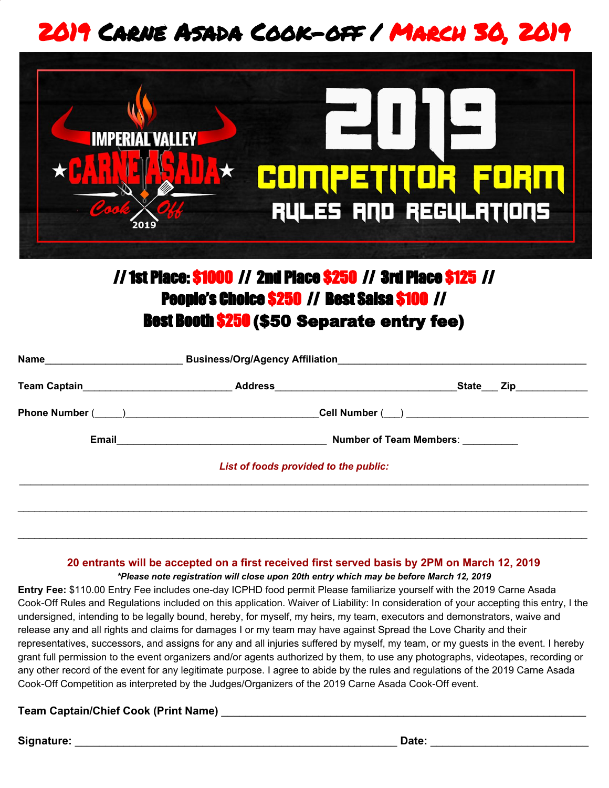# 2019 Carne Asada Cook-off / March 30, 2019



# //1st Place: \$1000 // 2nd Place \$250 // 3rd Place \$125 // People's Choice \$250 // Best Salsa \$100 // Best Booth \$250 (\$50 Separate entry fee)

|                                       | State____ Zip_____________     |  |
|---------------------------------------|--------------------------------|--|
|                                       |                                |  |
|                                       | <b>Number of Team Members:</b> |  |
| List of foods provided to the public: |                                |  |
|                                       |                                |  |
|                                       |                                |  |

#### **20 entrants will be accepted on a first received first served basis by 2PM on March 12, 2019**

 $\_$  ,  $\_$  ,  $\_$  ,  $\_$  ,  $\_$  ,  $\_$  ,  $\_$  ,  $\_$  ,  $\_$  ,  $\_$  ,  $\_$  ,  $\_$  ,  $\_$  ,  $\_$  ,  $\_$  ,  $\_$  ,  $\_$  ,  $\_$  ,  $\_$  ,  $\_$  ,  $\_$  ,  $\_$  ,  $\_$  ,  $\_$  ,  $\_$  ,  $\_$  ,  $\_$  ,  $\_$  ,  $\_$  ,  $\_$  ,  $\_$  ,  $\_$  ,  $\_$  ,  $\_$  ,  $\_$  ,  $\_$  ,  $\_$  ,

*\*Please note registration will close upon 20th entry which may be before March 12, 2019*

**Entry Fee:** \$110.00 Entry Fee includes one-day ICPHD food permit Please familiarize yourself with the 2019 Carne Asada Cook-Off Rules and Regulations included on this application. Waiver of Liability: In consideration of your accepting this entry, I the undersigned, intending to be legally bound, hereby, for myself, my heirs, my team, executors and demonstrators, waive and release any and all rights and claims for damages I or my team may have against Spread the Love Charity and their representatives, successors, and assigns for any and all injuries suffered by myself, my team, or my guests in the event. I hereby grant full permission to the event organizers and/or agents authorized by them, to use any photographs, videotapes, recording or any other record of the event for any legitimate purpose. I agree to abide by the rules and regulations of the 2019 Carne Asada Cook-Off Competition as interpreted by the Judges/Organizers of the 2019 Carne Asada Cook-Off event.

## **Team Captain/Chief Cook (Print Name)** \_\_\_\_\_\_\_\_\_\_\_\_\_\_\_\_\_\_\_\_\_\_\_\_\_\_\_\_\_\_\_\_\_\_\_\_\_\_\_\_\_\_\_\_\_\_\_\_\_\_\_\_\_\_\_\_\_\_\_\_

#### **Signature:** \_\_\_\_\_\_\_\_\_\_\_\_\_\_\_\_\_\_\_\_\_\_\_\_\_\_\_\_\_\_\_\_\_\_\_\_\_\_\_\_\_\_\_\_\_\_\_\_\_\_\_\_\_ **Date:** \_\_\_\_\_\_\_\_\_\_\_\_\_\_\_\_\_\_\_\_\_\_\_\_\_\_